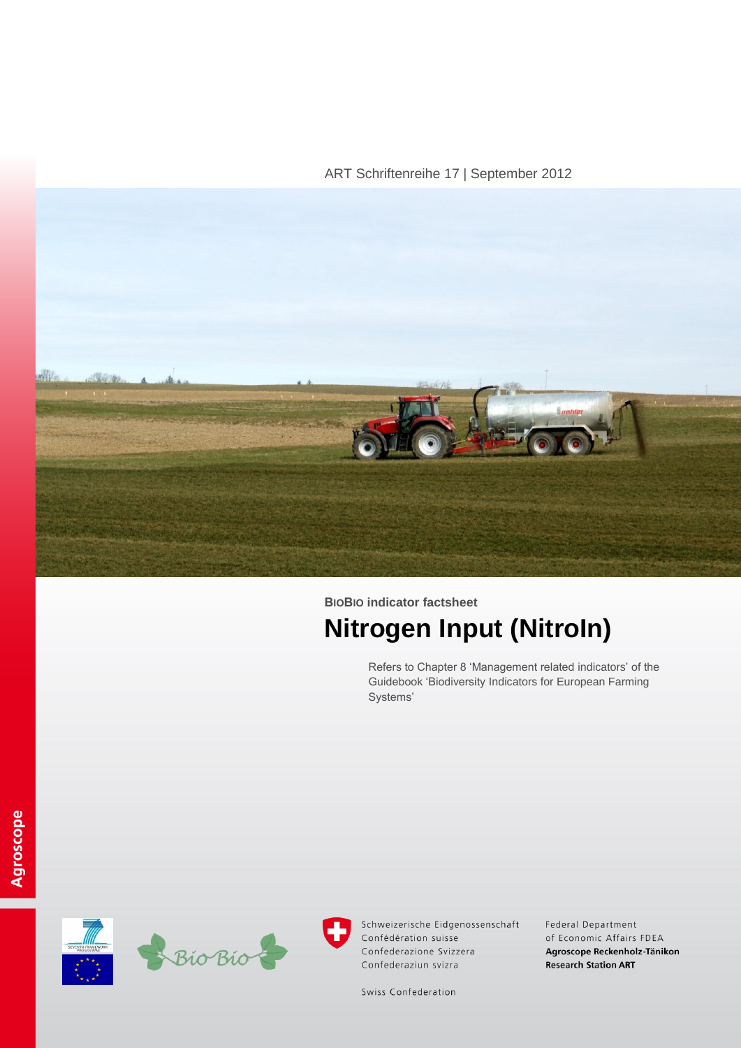ART Schriftenreihe 17 | September 2012



**BIOBIO indicator factsheet Nitrogen Input (NitroIn)**

> Refers to Chapter 8 'Management related indicators' of the Guidebook 'Biodiversity Indicators for European Farming Systems'





Schweizerische Eidgenossenschaft Confédération suisse Confederazione Svizzera Confederaziun svizra

Federal Department of Economic Affairs FDEA Agroscope Reckenholz-Tänikon **Research Station ART** 

Swiss Confederation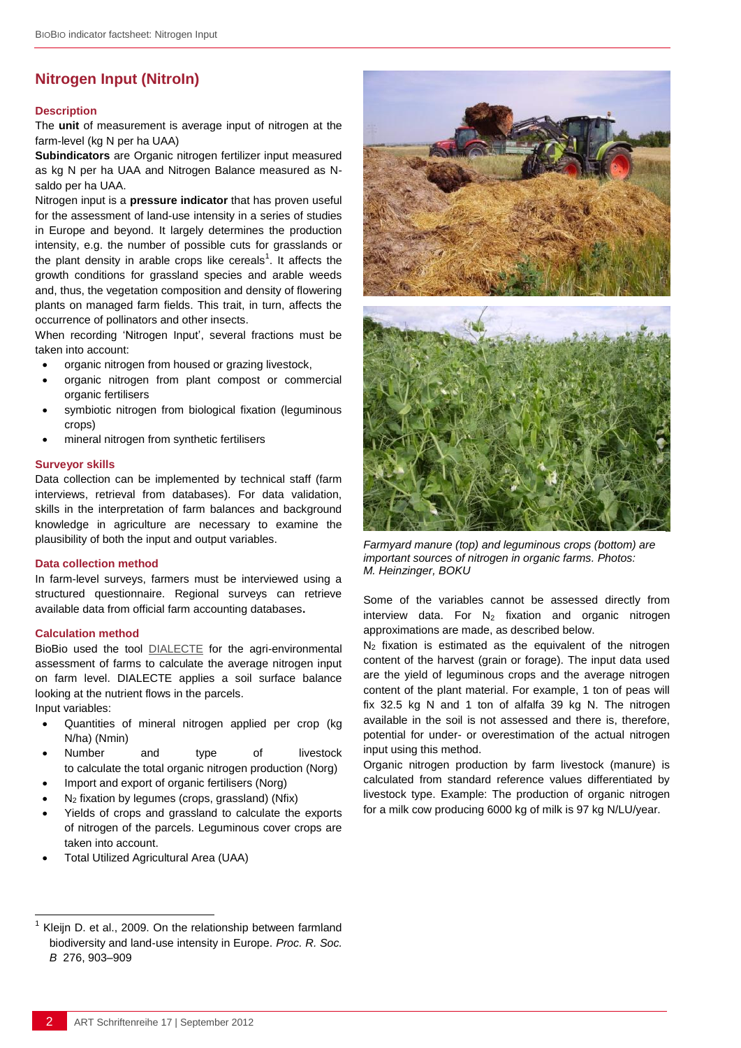# **Nitrogen Input (NitroIn)**

#### **Description**

The **unit** of measurement is average input of nitrogen at the farm-level (kg N per ha UAA)

**Subindicators** are Organic nitrogen fertilizer input measured as kg N per ha UAA and Nitrogen Balance measured as Nsaldo per ha UAA.

Nitrogen input is a **pressure indicator** that has proven useful for the assessment of land-use intensity in a series of studies in Europe and beyond. It largely determines the production intensity, e.g. the number of possible cuts for grasslands or the plant density in arable crops like cereals<sup>1</sup>. It affects the growth conditions for grassland species and arable weeds and, thus, the vegetation composition and density of flowering plants on managed farm fields. This trait, in turn, affects the occurrence of pollinators and other insects.

When recording 'Nitrogen Input', several fractions must be taken into account:

- organic nitrogen from housed or grazing livestock,
- organic nitrogen from plant compost or commercial organic fertilisers
- symbiotic nitrogen from biological fixation (leguminous crops)
- mineral nitrogen from synthetic fertilisers

#### **Surveyor skills**

Data collection can be implemented by technical staff (farm interviews, retrieval from databases). For data validation, skills in the interpretation of farm balances and background knowledge in agriculture are necessary to examine the plausibility of both the input and output variables.

### **Data collection method**

In farm-level surveys, farmers must be interviewed using a structured questionnaire. Regional surveys can retrieve available data from official farm accounting databases**.**

## **Calculation method**

BioBio used the tool [DIALECTE](http://dialecte.solagro.org/) for the agri-environmental assessment of farms to calculate the average nitrogen input on farm level. DIALECTE applies a soil surface balance looking at the nutrient flows in the parcels.

Input variables:

l

- Quantities of mineral nitrogen applied per crop (kg N/ha) (Nmin)
- Number and type of livestock to calculate the total organic nitrogen production (Norg)
- Import and export of organic fertilisers (Norg)
- $N<sub>2</sub>$  fixation by legumes (crops, grassland) (Nfix)
- Yields of crops and grassland to calculate the exports of nitrogen of the parcels. Leguminous cover crops are taken into account.
- Total Utilized Agricultural Area (UAA)



*Farmyard manure (top) and leguminous crops (bottom) are important sources of nitrogen in organic farms. Photos: M. Heinzinger, BOKU*

Some of the variables cannot be assessed directly from interview data. For  $N_2$  fixation and organic nitrogen approximations are made, as described below.

 $N_2$  fixation is estimated as the equivalent of the nitrogen content of the harvest (grain or forage). The input data used are the yield of leguminous crops and the average nitrogen content of the plant material. For example, 1 ton of peas will fix 32.5 kg N and 1 ton of alfalfa 39 kg N. The nitrogen available in the soil is not assessed and there is, therefore, potential for under- or overestimation of the actual nitrogen input using this method.

Organic nitrogen production by farm livestock (manure) is calculated from standard reference values differentiated by livestock type. Example: The production of organic nitrogen for a milk cow producing 6000 kg of milk is 97 kg N/LU/year.

<sup>1</sup> Kleijn D. et al., 2009. On the relationship between farmland biodiversity and land-use intensity in Europe. *Proc. R. Soc. B* 276, 903–909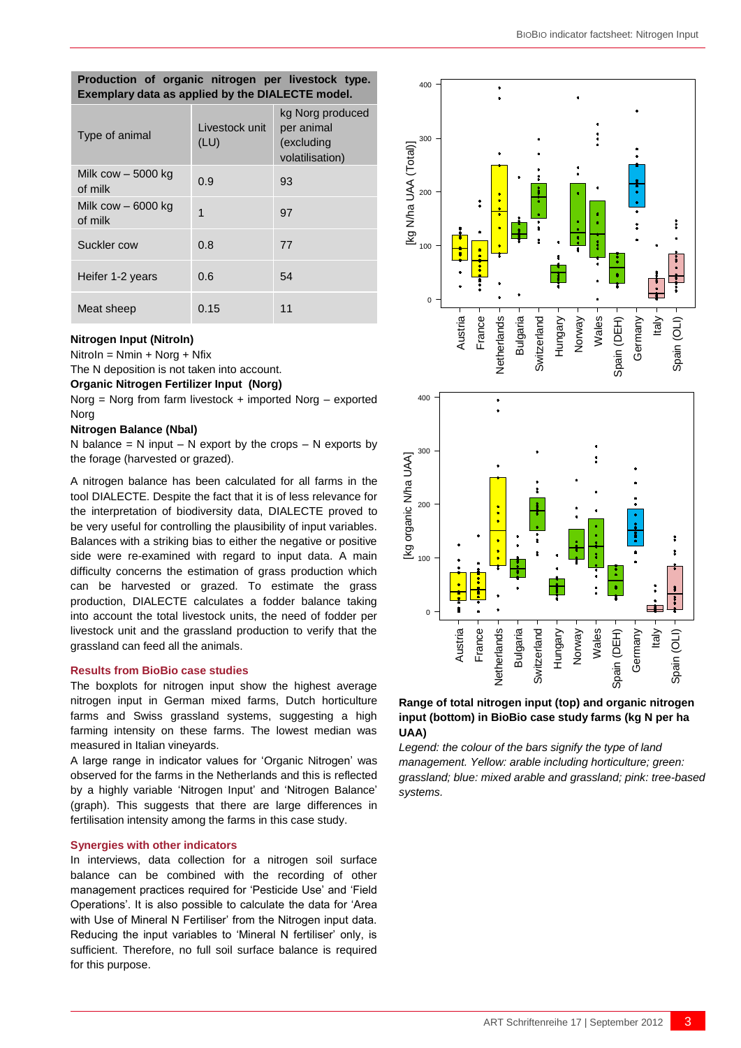| Production of organic nitrogen per livestock type.<br>Exemplary data as applied by the DIALECTE model. |                        |                                                                 |  |  |
|--------------------------------------------------------------------------------------------------------|------------------------|-----------------------------------------------------------------|--|--|
| Type of animal                                                                                         | Livestock unit<br>(LU) | kg Norg produced<br>per animal<br>(excluding<br>volatilisation) |  |  |
| Milk cow $-5000$ kg<br>of milk                                                                         | 0.9                    | 93                                                              |  |  |
| Milk cow - 6000 kg<br>of milk                                                                          | 1                      | 97                                                              |  |  |
| Suckler cow                                                                                            | 0.8                    | 77                                                              |  |  |
| Heifer 1-2 years                                                                                       | 0.6                    | 54                                                              |  |  |
| Meat sheep                                                                                             | 0.15                   | 11                                                              |  |  |

### **Nitrogen Input (NitroIn)**

NitroIn = Nmin + Norg + Nfix

The N deposition is not taken into account.

# **Organic Nitrogen Fertilizer Input (Norg)**

Norg = Norg from farm livestock + imported Norg – exported Norg

### **Nitrogen Balance (Nbal)**

N balance  $= N$  input – N export by the crops – N exports by the forage (harvested or grazed).

A nitrogen balance has been calculated for all farms in the tool DIALECTE. Despite the fact that it is of less relevance for the interpretation of biodiversity data, DIALECTE proved to be very useful for controlling the plausibility of input variables. Balances with a striking bias to either the negative or positive side were re-examined with regard to input data. A main difficulty concerns the estimation of grass production which can be harvested or grazed. To estimate the grass production, DIALECTE calculates a fodder balance taking into account the total livestock units, the need of fodder per livestock unit and the grassland production to verify that the grassland can feed all the animals.

### **Results from BioBio case studies**

The boxplots for nitrogen input show the highest average nitrogen input in German mixed farms, Dutch horticulture farms and Swiss grassland systems, suggesting a high farming intensity on these farms. The lowest median was measured in Italian vineyards.

A large range in indicator values for 'Organic Nitrogen' was observed for the farms in the Netherlands and this is reflected by a highly variable 'Nitrogen Input' and 'Nitrogen Balance' (graph). This suggests that there are large differences in fertilisation intensity among the farms in this case study.

### **Synergies with other indicators**

In interviews, data collection for a nitrogen soil surface balance can be combined with the recording of other management practices required for 'Pesticide Use' and 'Field Operations'. It is also possible to calculate the data for 'Area with Use of Mineral N Fertiliser' from the Nitrogen input data. Reducing the input variables to 'Mineral N fertiliser' only, is sufficient. Therefore, no full soil surface balance is required



# **Range of total nitrogen input (top) and organic nitrogen input (bottom) in BioBio case study farms (kg N per ha UAA)**

*Legend: the colour of the bars signify the type of land management. Yellow: arable including horticulture; green: grassland; blue: mixed arable and grassland; pink: tree-based systems.*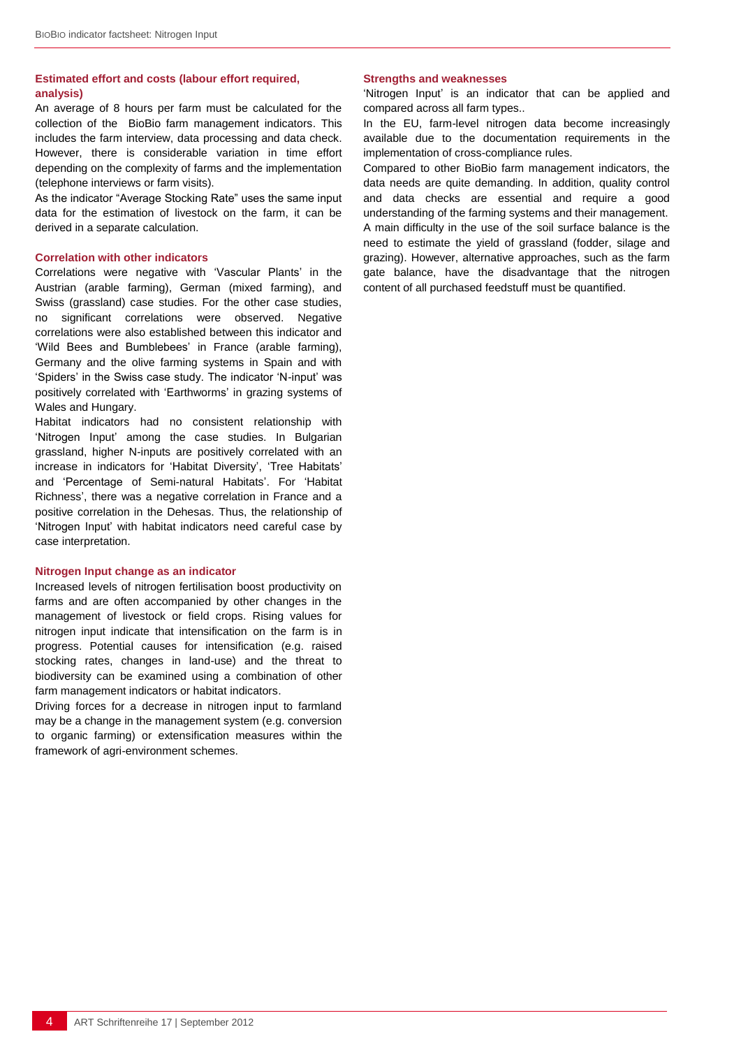# **Estimated effort and costs (labour effort required, analysis)**

An average of 8 hours per farm must be calculated for the collection of the BioBio farm management indicators. This includes the farm interview, data processing and data check. However, there is considerable variation in time effort depending on the complexity of farms and the implementation (telephone interviews or farm visits).

As the indicator "Average Stocking Rate" uses the same input data for the estimation of livestock on the farm, it can be derived in a separate calculation.

#### **Correlation with other indicators**

Correlations were negative with 'Vascular Plants' in the Austrian (arable farming), German (mixed farming), and Swiss (grassland) case studies. For the other case studies, no significant correlations were observed. Negative correlations were also established between this indicator and 'Wild Bees and Bumblebees' in France (arable farming), Germany and the olive farming systems in Spain and with 'Spiders' in the Swiss case study. The indicator 'N-input' was positively correlated with 'Earthworms' in grazing systems of Wales and Hungary.

Habitat indicators had no consistent relationship with 'Nitrogen Input' among the case studies. In Bulgarian grassland, higher N-inputs are positively correlated with an increase in indicators for 'Habitat Diversity', 'Tree Habitats' and 'Percentage of Semi-natural Habitats'. For 'Habitat Richness', there was a negative correlation in France and a positive correlation in the Dehesas. Thus, the relationship of 'Nitrogen Input' with habitat indicators need careful case by case interpretation.

#### **Nitrogen Input change as an indicator**

Increased levels of nitrogen fertilisation boost productivity on farms and are often accompanied by other changes in the management of livestock or field crops. Rising values for nitrogen input indicate that intensification on the farm is in progress. Potential causes for intensification (e.g. raised stocking rates, changes in land-use) and the threat to biodiversity can be examined using a combination of other farm management indicators or habitat indicators.

Driving forces for a decrease in nitrogen input to farmland may be a change in the management system (e.g. conversion to organic farming) or extensification measures within the framework of agri-environment schemes.

## **Strengths and weaknesses**

'Nitrogen Input' is an indicator that can be applied and compared across all farm types..

In the EU, farm-level nitrogen data become increasingly available due to the documentation requirements in the implementation of cross-compliance rules.

Compared to other BioBio farm management indicators, the data needs are quite demanding. In addition, quality control and data checks are essential and require a good understanding of the farming systems and their management. A main difficulty in the use of the soil surface balance is the need to estimate the yield of grassland (fodder, silage and grazing). However, alternative approaches, such as the farm gate balance, have the disadvantage that the nitrogen content of all purchased feedstuff must be quantified.